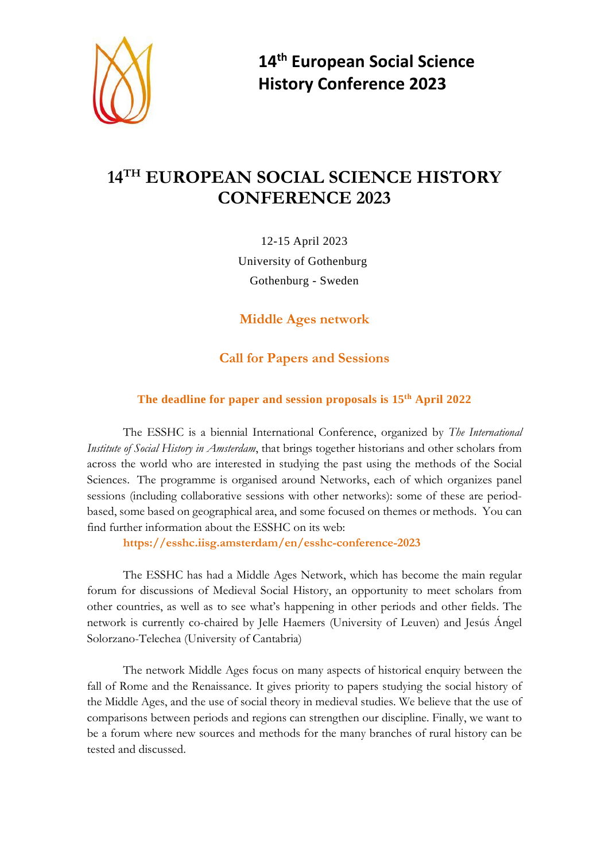

**14th European Social Science History Conference 2023**

## **14TH EUROPEAN SOCIAL SCIENCE HISTORY CONFERENCE 2023**

12-15 April 2023 University of Gothenburg Gothenburg - Sweden

**Middle Ages network**

## **Call for Papers and Sessions**

## **The deadline for paper and session proposals is 15th April 2022**

The ESSHC is a biennial International Conference, organized by *The International Institute of Social History in Amsterdam*, that brings together historians and other scholars from across the world who are interested in studying the past using the methods of the Social Sciences. The programme is organised around Networks, each of which organizes panel sessions (including collaborative sessions with other networks): some of these are periodbased, some based on geographical area, and some focused on themes or methods. You can find further information about the ESSHC on its web:

**https://esshc.iisg.amsterdam/en/esshc-conference-2023**

The ESSHC has had a Middle Ages Network, which has become the main regular forum for discussions of Medieval Social History, an opportunity to meet scholars from other countries, as well as to see what's happening in other periods and other fields. The network is currently co-chaired by Jelle Haemers (University of Leuven) and Jesús Ángel Solorzano-Telechea (University of Cantabria)

The network Middle Ages focus on many aspects of historical enquiry between the fall of Rome and the Renaissance. It gives priority to papers studying the social history of the Middle Ages, and the use of social theory in medieval studies. We believe that the use of comparisons between periods and regions can strengthen our discipline. Finally, we want to be a forum where new sources and methods for the many branches of rural history can be tested and discussed.